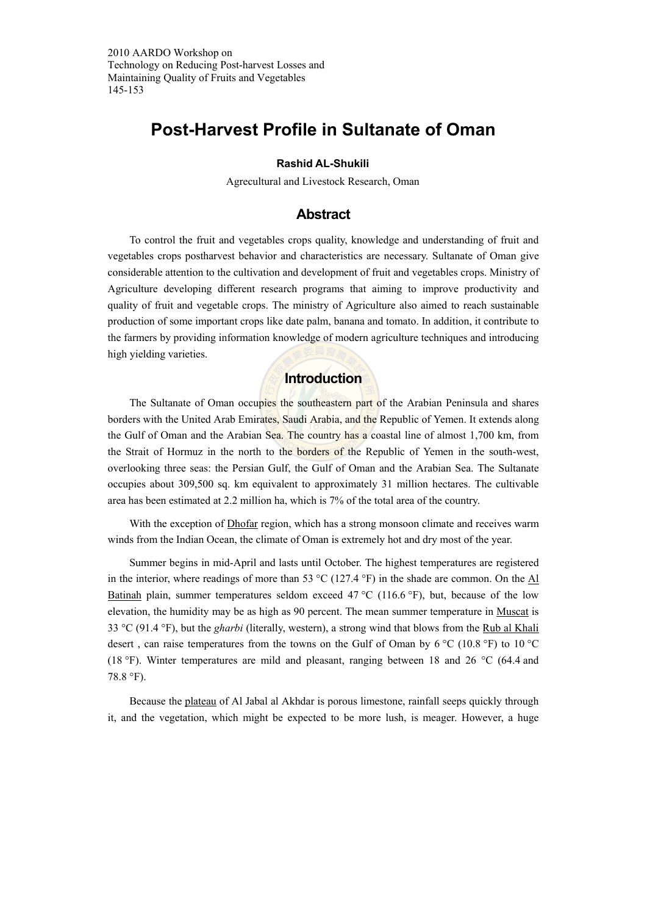2010 AARDO Workshop on Technology on Reducing Post-harvest Losses and Maintaining Quality of Fruits and Vegetables 145-153

# **Post-Harvest Profile in Sultanate of Oman**

#### **Rashid AL-Shukili**

Agrecultural and Livestock Research, Oman

## **Abstract**

To control the fruit and vegetables crops quality, knowledge and understanding of fruit and vegetables crops postharvest behavior and characteristics are necessary. Sultanate of Oman give considerable attention to the cultivation and development of fruit and vegetables crops. Ministry of Agriculture developing different research programs that aiming to improve productivity and quality of fruit and vegetable crops. The ministry of Agriculture also aimed to reach sustainable production of some important crops like date palm, banana and tomato. In addition, it contribute to the farmers by providing information knowledge of modern agriculture techniques and introducing high yielding varieties.

## **Introduction**

The Sultanate of Oman occupies the southeastern part of the Arabian Peninsula and shares borders with the United Arab Emirates, Saudi Arabia, and the Republic of Yemen. It extends along the Gulf of Oman and the Arabian Sea. The country has a coastal line of almost 1,700 km, from the Strait of Hormuz in the north to the borders of the Republic of Yemen in the south-west, overlooking three seas: the Persian Gulf, the Gulf of Oman and the Arabian Sea. The Sultanate occupies about 309,500 sq. km equivalent to approximately 31 million hectares. The cultivable area has been estimated at 2.2 million ha, which is 7% of the total area of the country.

With the exception of Dhofar region, which has a strong monsoon climate and receives warm winds from the Indian Ocean, the climate of Oman is extremely hot and dry most of the year.

Summer begins in mid-April and lasts until October. The highest temperatures are registered in the interior, where readings of more than 53  $^{\circ}$ C (127.4  $^{\circ}$ F) in the shade are common. On the Al Batinah plain, summer temperatures seldom exceed  $47^{\circ}$ C (116.6 °F), but, because of the low elevation, the humidity may be as high as 90 percent. The mean summer temperature in Muscat is 33 °C (91.4 °F), but the *gharbi* (literally, western), a strong wind that blows from the Rub al Khali desert , can raise temperatures from the towns on the Gulf of Oman by 6 °C (10.8 °F) to 10 °C (18 °F). Winter temperatures are mild and pleasant, ranging between 18 and 26 °C (64.4 and 78.8 °F).

Because the plateau of Al Jabal al Akhdar is porous limestone, rainfall seeps quickly through it, and the vegetation, which might be expected to be more lush, is meager. However, a huge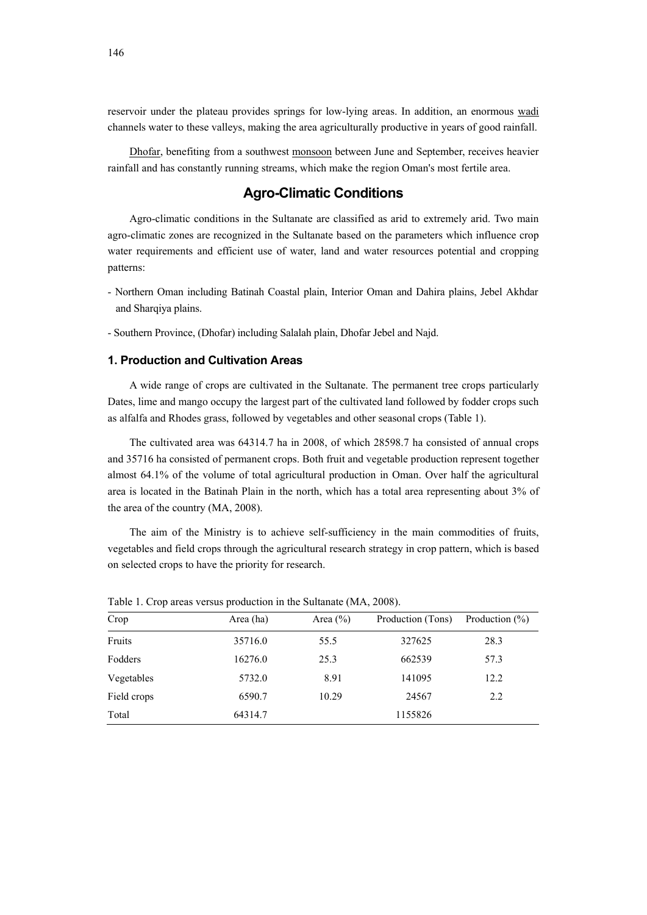reservoir under the plateau provides springs for low-lying areas. In addition, an enormous wadi channels water to these valleys, making the area agriculturally productive in years of good rainfall.

Dhofar, benefiting from a southwest monsoon between June and September, receives heavier rainfall and has constantly running streams, which make the region Oman's most fertile area.

## **Agro-Climatic Conditions**

Agro-climatic conditions in the Sultanate are classified as arid to extremely arid. Two main agro-climatic zones are recognized in the Sultanate based on the parameters which influence crop water requirements and efficient use of water, land and water resources potential and cropping patterns:

- Northern Oman including Batinah Coastal plain, Interior Oman and Dahira plains, Jebel Akhdar and Sharqiya plains.
- Southern Province, (Dhofar) including Salalah plain, Dhofar Jebel and Najd.

## **1. Production and Cultivation Areas**

A wide range of crops are cultivated in the Sultanate. The permanent tree crops particularly Dates, lime and mango occupy the largest part of the cultivated land followed by fodder crops such as alfalfa and Rhodes grass, followed by vegetables and other seasonal crops (Table 1).

The cultivated area was 64314.7 ha in 2008, of which 28598.7 ha consisted of annual crops and 35716 ha consisted of permanent crops. Both fruit and vegetable production represent together almost 64.1% of the volume of total agricultural production in Oman. Over half the agricultural area is located in the Batinah Plain in the north, which has a total area representing about 3% of the area of the country (MA, 2008).

The aim of the Ministry is to achieve self-sufficiency in the main commodities of fruits, vegetables and field crops through the agricultural research strategy in crop pattern, which is based on selected crops to have the priority for research.

| Crop        | Area (ha) | Area $(\% )$ | Production (Tons) | Production $(\% )$ |
|-------------|-----------|--------------|-------------------|--------------------|
| Fruits      | 35716.0   | 55.5         | 327625            | 28.3               |
| Fodders     | 16276.0   | 25.3         | 662539            | 57.3               |
| Vegetables  | 5732.0    | 8.91         | 141095            | 12.2               |
| Field crops | 6590.7    | 10.29        | 24567             | 2.2                |
| Total       | 64314.7   |              | 1155826           |                    |

Table 1. Crop areas versus production in the Sultanate (MA, 2008).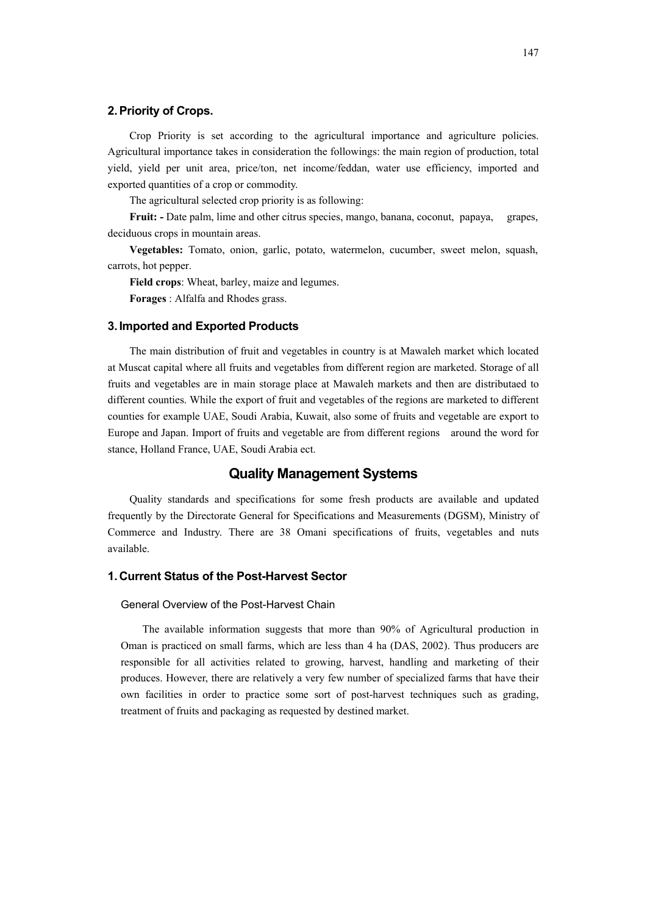#### **2. Priority of Crops.**

Crop Priority is set according to the agricultural importance and agriculture policies. Agricultural importance takes in consideration the followings: the main region of production, total yield, yield per unit area, price/ton, net income/feddan, water use efficiency, imported and exported quantities of a crop or commodity.

The agricultural selected crop priority is as following:

**Fruit: -** Date palm, lime and other citrus species, mango, banana, coconut, papaya, grapes, deciduous crops in mountain areas.

**Vegetables:** Tomato, onion, garlic, potato, watermelon, cucumber, sweet melon, squash, carrots, hot pepper.

**Field crops**: Wheat, barley, maize and legumes.

**Forages** : Alfalfa and Rhodes grass.

#### **3. Imported and Exported Products**

The main distribution of fruit and vegetables in country is at Mawaleh market which located at Muscat capital where all fruits and vegetables from different region are marketed. Storage of all fruits and vegetables are in main storage place at Mawaleh markets and then are distributaed to different counties. While the export of fruit and vegetables of the regions are marketed to different counties for example UAE, Soudi Arabia, Kuwait, also some of fruits and vegetable are export to Europe and Japan. Import of fruits and vegetable are from different regions around the word for stance, Holland France, UAE, Soudi Arabia ect.

## **Quality Management Systems**

Quality standards and specifications for some fresh products are available and updated frequently by the Directorate General for Specifications and Measurements (DGSM), Ministry of Commerce and Industry. There are 38 Omani specifications of fruits, vegetables and nuts available.

## **1. Current Status of the Post-Harvest Sector**

### General Overview of the Post-Harvest Chain

The available information suggests that more than 90% of Agricultural production in Oman is practiced on small farms, which are less than 4 ha (DAS, 2002). Thus producers are responsible for all activities related to growing, harvest, handling and marketing of their produces. However, there are relatively a very few number of specialized farms that have their own facilities in order to practice some sort of post-harvest techniques such as grading, treatment of fruits and packaging as requested by destined market.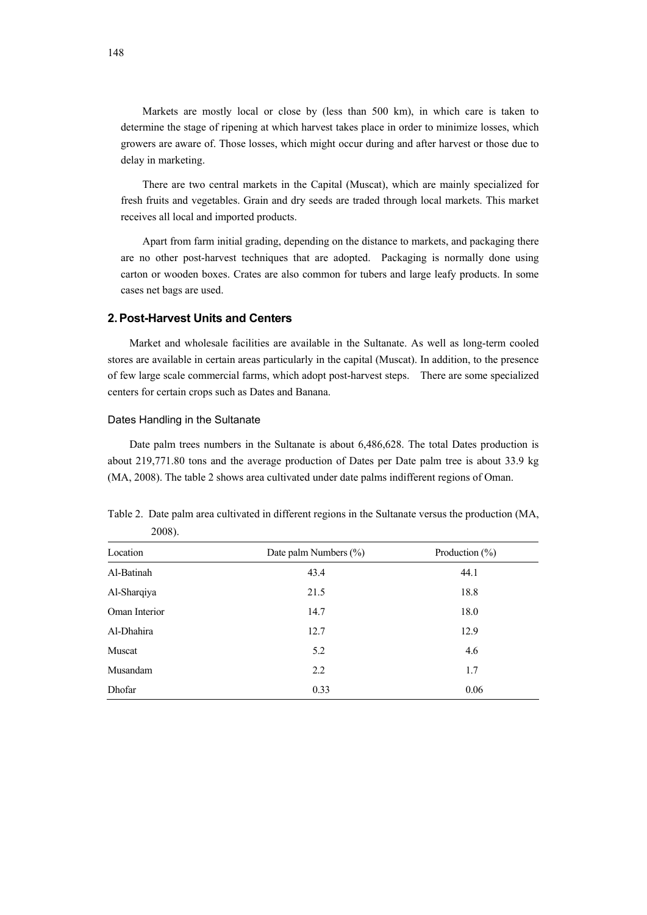Markets are mostly local or close by (less than 500 km), in which care is taken to determine the stage of ripening at which harvest takes place in order to minimize losses, which growers are aware of. Those losses, which might occur during and after harvest or those due to delay in marketing.

There are two central markets in the Capital (Muscat), which are mainly specialized for fresh fruits and vegetables. Grain and dry seeds are traded through local markets. This market receives all local and imported products.

Apart from farm initial grading, depending on the distance to markets, and packaging there are no other post-harvest techniques that are adopted. Packaging is normally done using carton or wooden boxes. Crates are also common for tubers and large leafy products. In some cases net bags are used.

### **2. Post-Harvest Units and Centers**

Market and wholesale facilities are available in the Sultanate. As well as long-term cooled stores are available in certain areas particularly in the capital (Muscat). In addition, to the presence of few large scale commercial farms, which adopt post-harvest steps. There are some specialized centers for certain crops such as Dates and Banana.

#### Dates Handling in the Sultanate

Date palm trees numbers in the Sultanate is about 6,486,628. The total Dates production is about 219,771.80 tons and the average production of Dates per Date palm tree is about 33.9 kg (MA, 2008). The table 2 shows area cultivated under date palms indifferent regions of Oman.

| Location      | Date palm Numbers $(\%)$ | Production $(\% )$ |
|---------------|--------------------------|--------------------|
| Al-Batinah    | 43.4                     | 44.1               |
| Al-Sharqiya   | 21.5                     | 18.8               |
| Oman Interior | 14.7                     | 18.0               |
| Al-Dhahira    | 12.7                     | 12.9               |
| Muscat        | 5.2                      | 4.6                |
| Musandam      | 2.2                      | 1.7                |
| Dhofar        | 0.33                     | 0.06               |

Table 2. Date palm area cultivated in different regions in the Sultanate versus the production (MA, 2008).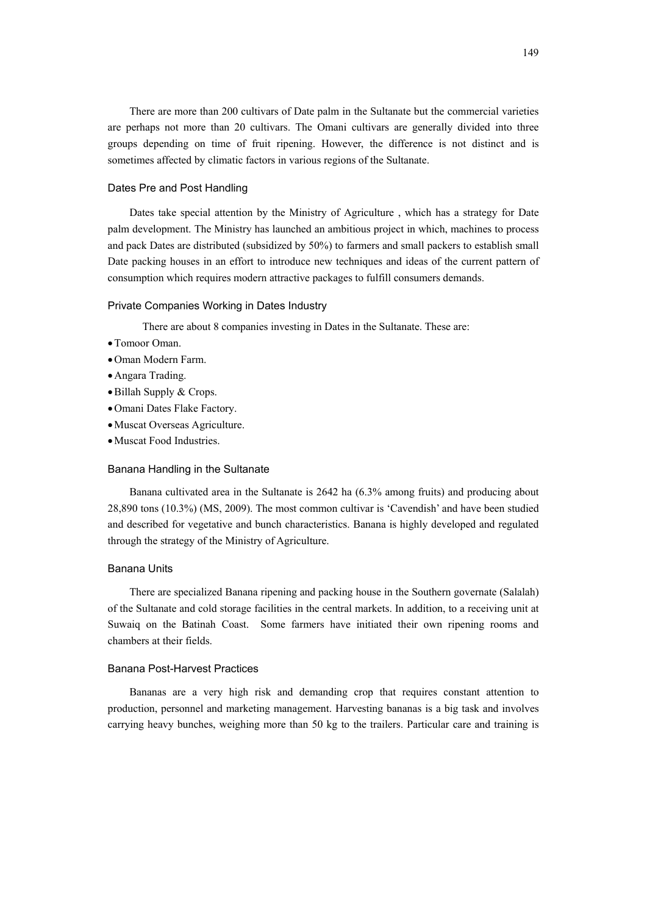There are more than 200 cultivars of Date palm in the Sultanate but the commercial varieties are perhaps not more than 20 cultivars. The Omani cultivars are generally divided into three groups depending on time of fruit ripening. However, the difference is not distinct and is sometimes affected by climatic factors in various regions of the Sultanate.

### Dates Pre and Post Handling

Dates take special attention by the Ministry of Agriculture , which has a strategy for Date palm development. The Ministry has launched an ambitious project in which, machines to process and pack Dates are distributed (subsidized by 50%) to farmers and small packers to establish small Date packing houses in an effort to introduce new techniques and ideas of the current pattern of consumption which requires modern attractive packages to fulfill consumers demands.

#### Private Companies Working in Dates Industry

There are about 8 companies investing in Dates in the Sultanate. These are:

- •Tomoor Oman.
- •Oman Modern Farm.
- •Angara Trading.
- •Billah Supply & Crops.
- •Omani Dates Flake Factory.
- •Muscat Overseas Agriculture.
- •Muscat Food Industries.

#### Banana Handling in the Sultanate

Banana cultivated area in the Sultanate is 2642 ha (6.3% among fruits) and producing about 28,890 tons (10.3%) (MS, 2009). The most common cultivar is 'Cavendish' and have been studied and described for vegetative and bunch characteristics. Banana is highly developed and regulated through the strategy of the Ministry of Agriculture.

#### Banana Units

There are specialized Banana ripening and packing house in the Southern governate (Salalah) of the Sultanate and cold storage facilities in the central markets. In addition, to a receiving unit at Suwaiq on the Batinah Coast. Some farmers have initiated their own ripening rooms and chambers at their fields.

#### Banana Post-Harvest Practices

Bananas are a very high risk and demanding crop that requires constant attention to production, personnel and marketing management. Harvesting bananas is a big task and involves carrying heavy bunches, weighing more than 50 kg to the trailers. Particular care and training is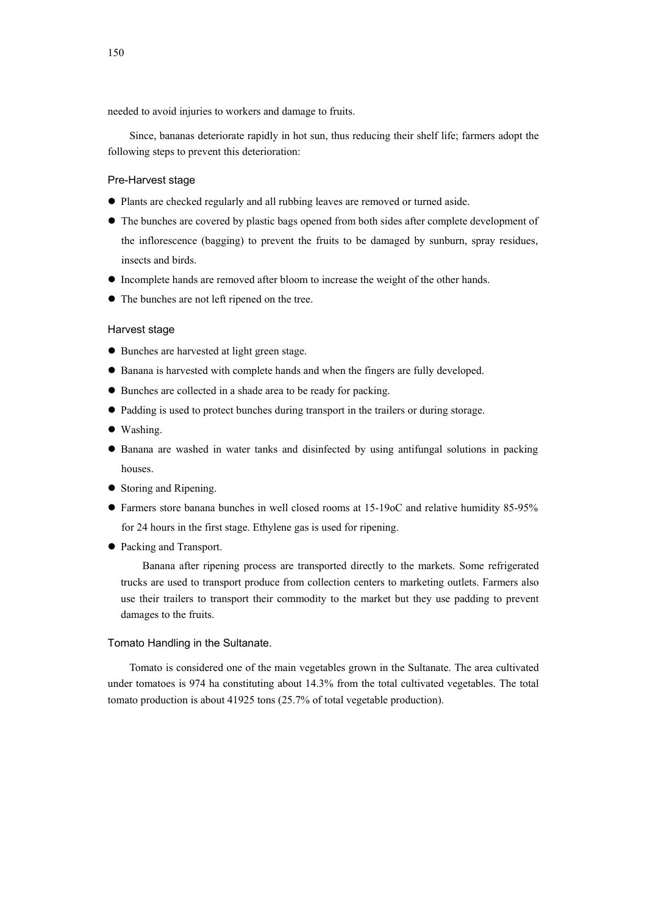needed to avoid injuries to workers and damage to fruits.

Since, bananas deteriorate rapidly in hot sun, thus reducing their shelf life; farmers adopt the following steps to prevent this deterioration:

#### Pre-Harvest stage

- Plants are checked regularly and all rubbing leaves are removed or turned aside.
- The bunches are covered by plastic bags opened from both sides after complete development of the inflorescence (bagging) to prevent the fruits to be damaged by sunburn, spray residues, insects and birds.
- Incomplete hands are removed after bloom to increase the weight of the other hands.
- The bunches are not left ripened on the tree.

#### Harvest stage

- Bunches are harvested at light green stage.
- $\bullet$  Banana is harvested with complete hands and when the fingers are fully developed.
- $\bullet$  Bunches are collected in a shade area to be ready for packing.
- Padding is used to protect bunches during transport in the trailers or during storage.
- $\bullet$  Washing.
- Banana are washed in water tanks and disinfected by using antifungal solutions in packing houses.
- $\bullet$  Storing and Ripening.
- Farmers store banana bunches in well closed rooms at 15-19oC and relative humidity 85-95% for 24 hours in the first stage. Ethylene gas is used for ripening.
- Packing and Transport.

Banana after ripening process are transported directly to the markets. Some refrigerated trucks are used to transport produce from collection centers to marketing outlets. Farmers also use their trailers to transport their commodity to the market but they use padding to prevent damages to the fruits.

#### Tomato Handling in the Sultanate.

Tomato is considered one of the main vegetables grown in the Sultanate. The area cultivated under tomatoes is 974 ha constituting about 14.3% from the total cultivated vegetables. The total tomato production is about 41925 tons (25.7% of total vegetable production).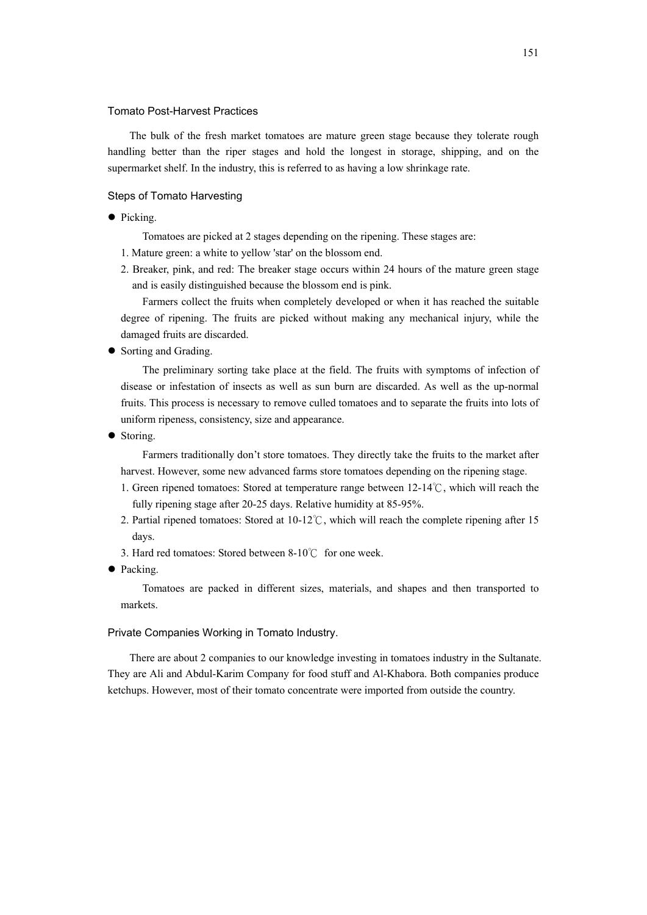#### Tomato Post-Harvest Practices

The bulk of the fresh market tomatoes are mature green stage because they tolerate rough handling better than the riper stages and hold the longest in storage, shipping, and on the supermarket shelf. In the industry, this is referred to as having a low shrinkage rate.

#### Steps of Tomato Harvesting

• Picking.

Tomatoes are picked at 2 stages depending on the ripening. These stages are:

- 1. Mature green: a white to yellow 'star' on the blossom end.
- 2. Breaker, pink, and red: The breaker stage occurs within 24 hours of the mature green stage and is easily distinguished because the blossom end is pink.

Farmers collect the fruits when completely developed or when it has reached the suitable degree of ripening. The fruits are picked without making any mechanical injury, while the damaged fruits are discarded.

• Sorting and Grading.

The preliminary sorting take place at the field. The fruits with symptoms of infection of disease or infestation of insects as well as sun burn are discarded. As well as the up-normal fruits. This process is necessary to remove culled tomatoes and to separate the fruits into lots of uniform ripeness, consistency, size and appearance.

• Storing.

Farmers traditionally don't store tomatoes. They directly take the fruits to the market after harvest. However, some new advanced farms store tomatoes depending on the ripening stage.

- 1. Green ripened tomatoes: Stored at temperature range between 12-14℃, which will reach the fully ripening stage after 20-25 days. Relative humidity at 85-95%.
- 2. Partial ripened tomatoes: Stored at 10-12℃, which will reach the complete ripening after 15 days.
- 3. Hard red tomatoes: Stored between 8-10℃ for one week.
- Packing.

Tomatoes are packed in different sizes, materials, and shapes and then transported to markets.

#### Private Companies Working in Tomato Industry.

There are about 2 companies to our knowledge investing in tomatoes industry in the Sultanate. They are Ali and Abdul-Karim Company for food stuff and Al-Khabora. Both companies produce ketchups. However, most of their tomato concentrate were imported from outside the country.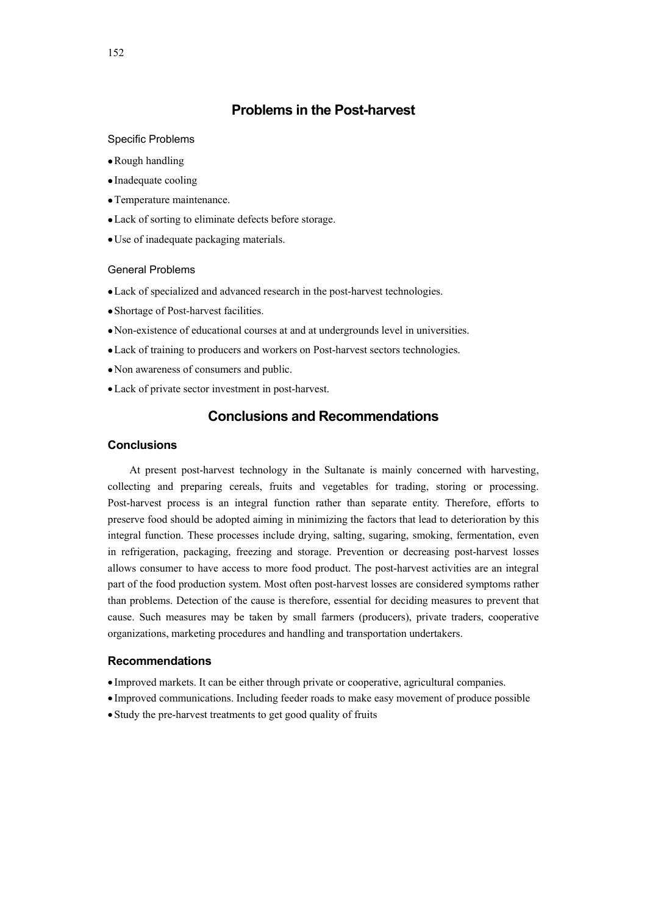## **Problems in the Post-harvest**

#### Specific Problems

- •Rough handling
- Inadequate cooling
- •Temperature maintenance.
- •Lack of sorting to eliminate defects before storage.
- •Use of inadequate packaging materials.

## General Problems

- •Lack of specialized and advanced research in the post-harvest technologies.
- •Shortage of Post-harvest facilities.
- •Non-existence of educational courses at and at undergrounds level in universities.
- •Lack of training to producers and workers on Post-harvest sectors technologies.
- Non awareness of consumers and public.
- •Lack of private sector investment in post-harvest.

## **Conclusions and Recommendations**

### **Conclusions**

At present post-harvest technology in the Sultanate is mainly concerned with harvesting, collecting and preparing cereals, fruits and vegetables for trading, storing or processing. Post-harvest process is an integral function rather than separate entity. Therefore, efforts to preserve food should be adopted aiming in minimizing the factors that lead to deterioration by this integral function. These processes include drying, salting, sugaring, smoking, fermentation, even in refrigeration, packaging, freezing and storage. Prevention or decreasing post-harvest losses allows consumer to have access to more food product. The post-harvest activities are an integral part of the food production system. Most often post-harvest losses are considered symptoms rather than problems. Detection of the cause is therefore, essential for deciding measures to prevent that cause. Such measures may be taken by small farmers (producers), private traders, cooperative organizations, marketing procedures and handling and transportation undertakers.

### **Recommendations**

- Improved markets. It can be either through private or cooperative, agricultural companies.
- Improved communications. Including feeder roads to make easy movement of produce possible
- •Study the pre-harvest treatments to get good quality of fruits